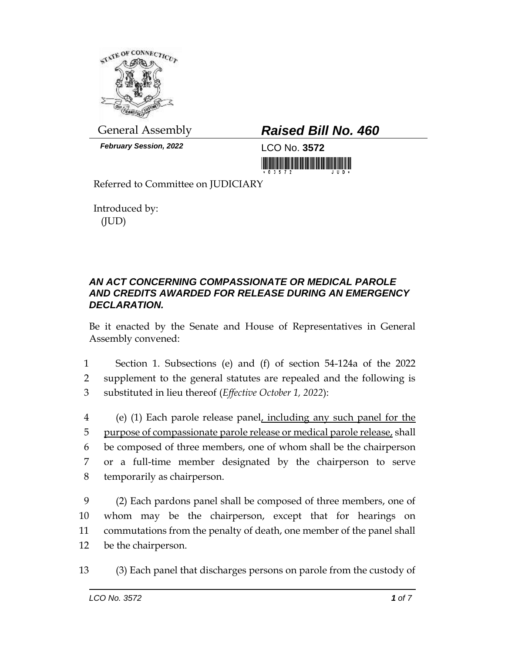

*February Session, 2022* LCO No. **3572**

## General Assembly *Raised Bill No. 460*

Referred to Committee on JUDICIARY

Introduced by: (JUD)

## *AN ACT CONCERNING COMPASSIONATE OR MEDICAL PAROLE AND CREDITS AWARDED FOR RELEASE DURING AN EMERGENCY DECLARATION.*

Be it enacted by the Senate and House of Representatives in General Assembly convened:

1 Section 1. Subsections (e) and (f) of section 54-124a of the 2022 2 supplement to the general statutes are repealed and the following is 3 substituted in lieu thereof (*Effective October 1, 2022*):

 (e) (1) Each parole release panel, including any such panel for the purpose of compassionate parole release or medical parole release, shall be composed of three members, one of whom shall be the chairperson or a full-time member designated by the chairperson to serve temporarily as chairperson.

 (2) Each pardons panel shall be composed of three members, one of whom may be the chairperson, except that for hearings on commutations from the penalty of death, one member of the panel shall be the chairperson.

13 (3) Each panel that discharges persons on parole from the custody of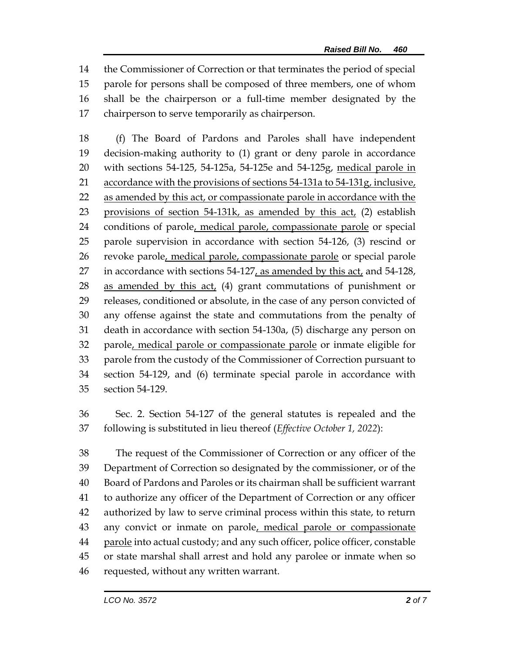the Commissioner of Correction or that terminates the period of special parole for persons shall be composed of three members, one of whom shall be the chairperson or a full-time member designated by the chairperson to serve temporarily as chairperson.

 (f) The Board of Pardons and Paroles shall have independent decision-making authority to (1) grant or deny parole in accordance with sections 54-125, 54-125a, 54-125e and 54-125g, medical parole in 21 accordance with the provisions of sections 54-131a to 54-131g, inclusive, 22 as amended by this act, or compassionate parole in accordance with the 23 provisions of section 54-131k, as amended by this act, (2) establish conditions of parole, medical parole, compassionate parole or special parole supervision in accordance with section 54-126, (3) rescind or 26 revoke parole, medical parole, compassionate parole or special parole 27 in accordance with sections  $54-127$ , as amended by this act, and  $54-128$ , 28 as amended by this  $act_{\ell}$  (4) grant commutations of punishment or releases, conditioned or absolute, in the case of any person convicted of any offense against the state and commutations from the penalty of death in accordance with section 54-130a, (5) discharge any person on parole, medical parole or compassionate parole or inmate eligible for parole from the custody of the Commissioner of Correction pursuant to section 54-129, and (6) terminate special parole in accordance with section 54-129.

 Sec. 2. Section 54-127 of the general statutes is repealed and the following is substituted in lieu thereof (*Effective October 1, 2022*):

 The request of the Commissioner of Correction or any officer of the Department of Correction so designated by the commissioner, or of the Board of Pardons and Paroles or its chairman shall be sufficient warrant to authorize any officer of the Department of Correction or any officer authorized by law to serve criminal process within this state, to return 43 any convict or inmate on parole, medical parole or compassionate 44 parole into actual custody; and any such officer, police officer, constable or state marshal shall arrest and hold any parolee or inmate when so requested, without any written warrant.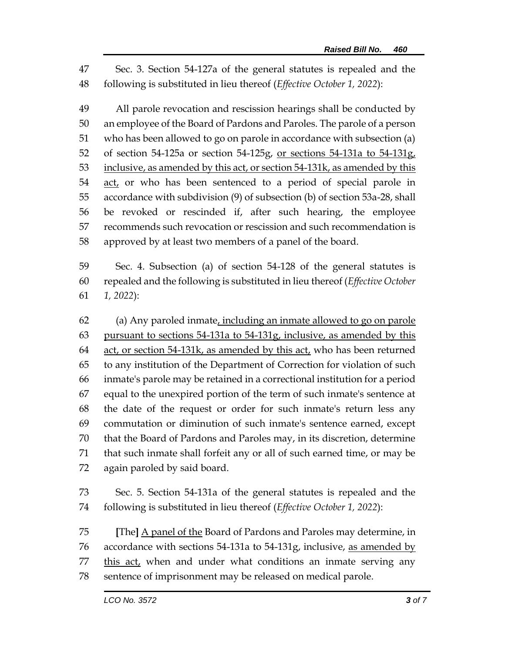Sec. 3. Section 54-127a of the general statutes is repealed and the following is substituted in lieu thereof (*Effective October 1, 2022*):

 All parole revocation and rescission hearings shall be conducted by an employee of the Board of Pardons and Paroles. The parole of a person who has been allowed to go on parole in accordance with subsection (a) of section 54-125a or section 54-125g, or sections 54-131a to 54-131g, 53 inclusive, as amended by this act, or section 54-131k, as amended by this 54 act, or who has been sentenced to a period of special parole in accordance with subdivision (9) of subsection (b) of section 53a-28, shall be revoked or rescinded if, after such hearing, the employee recommends such revocation or rescission and such recommendation is approved by at least two members of a panel of the board.

 Sec. 4. Subsection (a) of section 54-128 of the general statutes is repealed and the following is substituted in lieu thereof (*Effective October 1, 2022*):

 (a) Any paroled inmate, including an inmate allowed to go on parole pursuant to sections 54-131a to 54-131g, inclusive, as amended by this 64 act, or section 54-131k, as amended by this act, who has been returned to any institution of the Department of Correction for violation of such inmate's parole may be retained in a correctional institution for a period equal to the unexpired portion of the term of such inmate's sentence at the date of the request or order for such inmate's return less any commutation or diminution of such inmate's sentence earned, except that the Board of Pardons and Paroles may, in its discretion, determine that such inmate shall forfeit any or all of such earned time, or may be again paroled by said board.

 Sec. 5. Section 54-131a of the general statutes is repealed and the following is substituted in lieu thereof (*Effective October 1, 2022*):

 **[**The**]** A panel of the Board of Pardons and Paroles may determine, in 76 accordance with sections 54-131a to 54-131g, inclusive, as amended by 77 this act, when and under what conditions an inmate serving any sentence of imprisonment may be released on medical parole.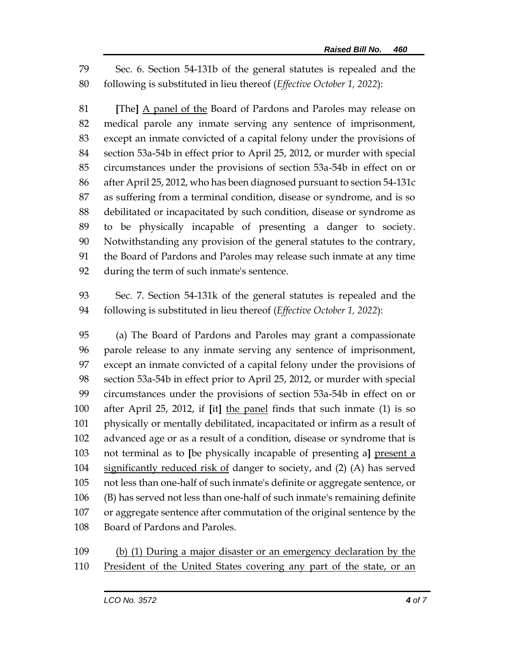Sec. 6. Section 54-131b of the general statutes is repealed and the following is substituted in lieu thereof (*Effective October 1, 2022*):

 **[**The**]** A panel of the Board of Pardons and Paroles may release on medical parole any inmate serving any sentence of imprisonment, except an inmate convicted of a capital felony under the provisions of section 53a-54b in effect prior to April 25, 2012, or murder with special circumstances under the provisions of section 53a-54b in effect on or after April 25, 2012, who has been diagnosed pursuant to section 54-131c as suffering from a terminal condition, disease or syndrome, and is so debilitated or incapacitated by such condition, disease or syndrome as to be physically incapable of presenting a danger to society. Notwithstanding any provision of the general statutes to the contrary, the Board of Pardons and Paroles may release such inmate at any time during the term of such inmate's sentence.

 Sec. 7. Section 54-131k of the general statutes is repealed and the following is substituted in lieu thereof (*Effective October 1, 2022*):

 (a) The Board of Pardons and Paroles may grant a compassionate parole release to any inmate serving any sentence of imprisonment, except an inmate convicted of a capital felony under the provisions of section 53a-54b in effect prior to April 25, 2012, or murder with special circumstances under the provisions of section 53a-54b in effect on or after April 25, 2012, if **[**it**]** the panel finds that such inmate (1) is so physically or mentally debilitated, incapacitated or infirm as a result of advanced age or as a result of a condition, disease or syndrome that is not terminal as to **[**be physically incapable of presenting a**]** present a significantly reduced risk of danger to society, and (2) (A) has served not less than one-half of such inmate's definite or aggregate sentence, or (B) has served not less than one-half of such inmate's remaining definite or aggregate sentence after commutation of the original sentence by the Board of Pardons and Paroles.

 (b) (1) During a major disaster or an emergency declaration by the 110 President of the United States covering any part of the state, or an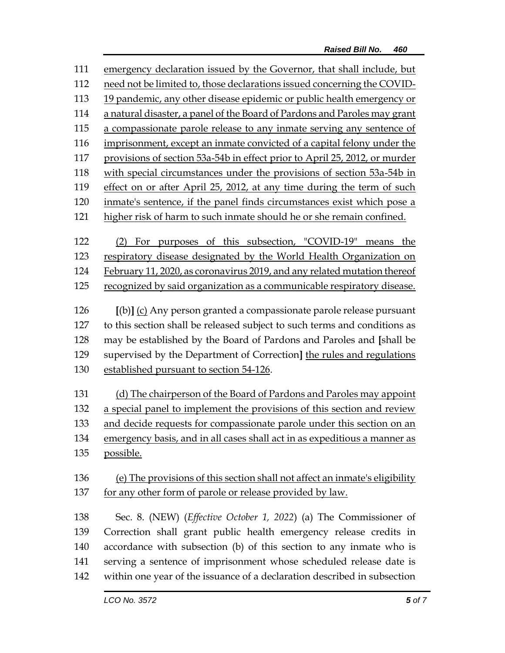| 111 | emergency declaration issued by the Governor, that shall include, but       |  |  |
|-----|-----------------------------------------------------------------------------|--|--|
| 112 | need not be limited to, those declarations issued concerning the COVID-     |  |  |
| 113 | 19 pandemic, any other disease epidemic or public health emergency or       |  |  |
| 114 | a natural disaster, a panel of the Board of Pardons and Paroles may grant   |  |  |
| 115 | a compassionate parole release to any inmate serving any sentence of        |  |  |
| 116 | imprisonment, except an inmate convicted of a capital felony under the      |  |  |
| 117 | provisions of section 53a-54b in effect prior to April 25, 2012, or murder  |  |  |
| 118 | with special circumstances under the provisions of section 53a-54b in       |  |  |
| 119 | effect on or after April 25, 2012, at any time during the term of such      |  |  |
| 120 | inmate's sentence, if the panel finds circumstances exist which pose a      |  |  |
| 121 | higher risk of harm to such inmate should he or she remain confined.        |  |  |
|     |                                                                             |  |  |
| 122 | (2) For purposes of this subsection, "COVID-19" means the                   |  |  |
| 123 | respiratory disease designated by the World Health Organization on          |  |  |
| 124 | February 11, 2020, as coronavirus 2019, and any related mutation thereof    |  |  |
| 125 | recognized by said organization as a communicable respiratory disease.      |  |  |
| 126 | [(b)] (c) Any person granted a compassionate parole release pursuant        |  |  |
| 127 | to this section shall be released subject to such terms and conditions as   |  |  |
| 128 | may be established by the Board of Pardons and Paroles and [shall be        |  |  |
| 129 | supervised by the Department of Correction] the rules and regulations       |  |  |
| 130 | established pursuant to section 54-126.                                     |  |  |
|     |                                                                             |  |  |
| 131 | (d) The chairperson of the Board of Pardons and Paroles may appoint         |  |  |
| 132 | a special panel to implement the provisions of this section and review      |  |  |
| 133 | and decide requests for compassionate parole under this section on an       |  |  |
| 134 | emergency basis, and in all cases shall act in as expeditious a manner as   |  |  |
| 135 | possible.                                                                   |  |  |
| 136 |                                                                             |  |  |
|     | (e) The provisions of this section shall not affect an inmate's eligibility |  |  |
| 137 | for any other form of parole or release provided by law.                    |  |  |
| 138 | Sec. 8. (NEW) ( <i>Effective October 1, 2022</i> ) (a) The Commissioner of  |  |  |
| 139 | Correction shall grant public health emergency release credits in           |  |  |
| 140 | accordance with subsection (b) of this section to any inmate who is         |  |  |
| 141 | serving a sentence of imprisonment whose scheduled release date is          |  |  |
| 142 | within one year of the issuance of a declaration described in subsection    |  |  |
|     |                                                                             |  |  |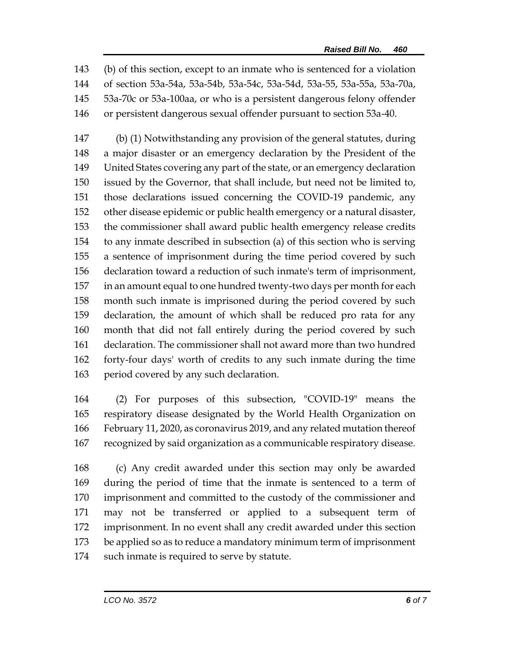(b) of this section, except to an inmate who is sentenced for a violation of section 53a-54a, 53a-54b, 53a-54c, 53a-54d, 53a-55, 53a-55a, 53a-70a, 53a-70c or 53a-100aa, or who is a persistent dangerous felony offender or persistent dangerous sexual offender pursuant to section 53a-40.

 (b) (1) Notwithstanding any provision of the general statutes, during a major disaster or an emergency declaration by the President of the United States covering any part of the state, or an emergency declaration issued by the Governor, that shall include, but need not be limited to, those declarations issued concerning the COVID-19 pandemic, any other disease epidemic or public health emergency or a natural disaster, the commissioner shall award public health emergency release credits to any inmate described in subsection (a) of this section who is serving a sentence of imprisonment during the time period covered by such declaration toward a reduction of such inmate's term of imprisonment, in an amount equal to one hundred twenty-two days per month for each month such inmate is imprisoned during the period covered by such declaration, the amount of which shall be reduced pro rata for any month that did not fall entirely during the period covered by such declaration. The commissioner shall not award more than two hundred forty-four days' worth of credits to any such inmate during the time period covered by any such declaration.

 (2) For purposes of this subsection, "COVID-19" means the respiratory disease designated by the World Health Organization on February 11, 2020, as coronavirus 2019, and any related mutation thereof recognized by said organization as a communicable respiratory disease.

 (c) Any credit awarded under this section may only be awarded during the period of time that the inmate is sentenced to a term of imprisonment and committed to the custody of the commissioner and may not be transferred or applied to a subsequent term of imprisonment. In no event shall any credit awarded under this section be applied so as to reduce a mandatory minimum term of imprisonment such inmate is required to serve by statute.